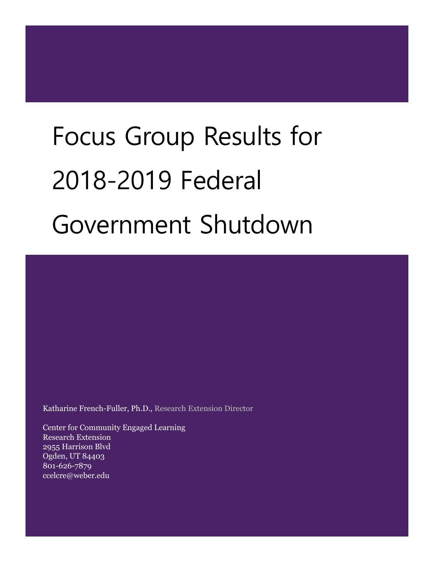# Focus Group Results for 2018-2019 Federal Government Shutdown

Katharine French-Fuller, Ph.D., Research Extension Director

Center for Community Engaged Learning Research Extension 2955 Harrison Blvd Ogden, UT 84403 801-626-7879 ccelcre@weber.edu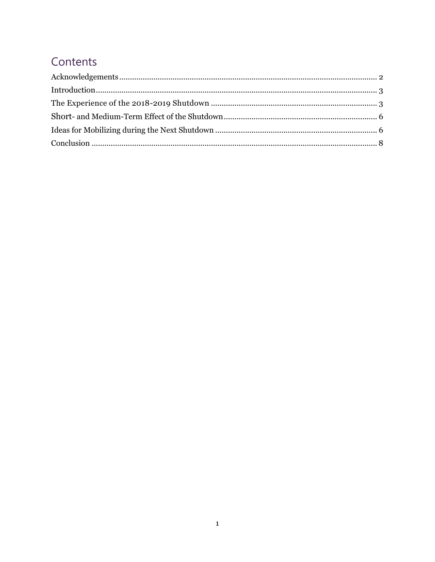## Contents

<span id="page-1-0"></span>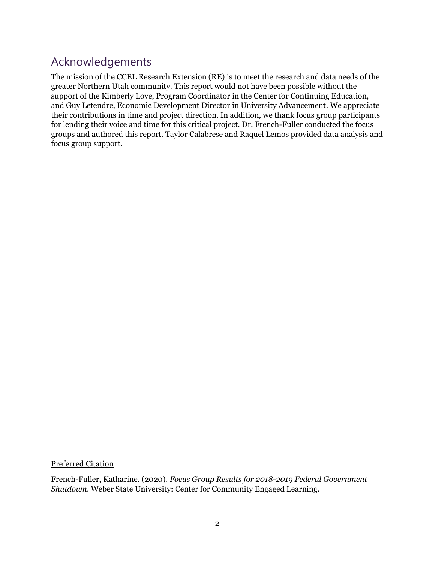### Acknowledgements

The mission of the CCEL Research Extension (RE) is to meet the research and data needs of the greater Northern Utah community. This report would not have been possible without the support of the Kimberly Love, Program Coordinator in the Center for Continuing Education, and Guy Letendre, Economic Development Director in University Advancement. We appreciate their contributions in time and project direction. In addition, we thank focus group participants for lending their voice and time for this critical project. Dr. French-Fuller conducted the focus groups and authored this report. Taylor Calabrese and Raquel Lemos provided data analysis and focus group support.

Preferred Citation

French-Fuller, Katharine. (2020). *Focus Group Results for 2018-2019 Federal Government Shutdown.* Weber State University: Center for Community Engaged Learning.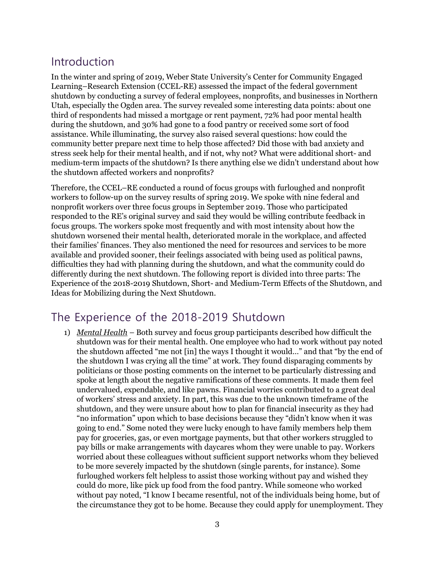### <span id="page-3-0"></span>Introduction

In the winter and spring of 2019, Weber State University's Center for Community Engaged Learning–Research Extension (CCEL-RE) assessed the impact of the federal government shutdown by conducting a survey of federal employees, nonprofits, and businesses in Northern Utah, especially the Ogden area. The survey revealed some interesting data points: about one third of respondents had missed a mortgage or rent payment, 72% had poor mental health during the shutdown, and 30% had gone to a food pantry or received some sort of food assistance. While illuminating, the survey also raised several questions: how could the community better prepare next time to help those affected? Did those with bad anxiety and stress seek help for their mental health, and if not, why not? What were additional short- and medium-term impacts of the shutdown? Is there anything else we didn't understand about how the shutdown affected workers and nonprofits?

Therefore, the CCEL–RE conducted a round of focus groups with furloughed and nonprofit workers to follow-up on the survey results of spring 2019. We spoke with nine federal and nonprofit workers over three focus groups in September 2019. Those who participated responded to the RE's original survey and said they would be willing contribute feedback in focus groups. The workers spoke most frequently and with most intensity about how the shutdown worsened their mental health, deteriorated morale in the workplace, and affected their families' finances. They also mentioned the need for resources and services to be more available and provided sooner, their feelings associated with being used as political pawns, difficulties they had with planning during the shutdown, and what the community could do differently during the next shutdown. The following report is divided into three parts: The Experience of the 2018-2019 Shutdown, Short- and Medium-Term Effects of the Shutdown, and Ideas for Mobilizing during the Next Shutdown.

#### <span id="page-3-1"></span>The Experience of the 2018-2019 Shutdown

1) *Mental Health* – Both survey and focus group participants described how difficult the shutdown was for their mental health. One employee who had to work without pay noted the shutdown affected "me not [in] the ways I thought it would…" and that "by the end of the shutdown I was crying all the time" at work. They found disparaging comments by politicians or those posting comments on the internet to be particularly distressing and spoke at length about the negative ramifications of these comments. It made them feel undervalued, expendable, and like pawns. Financial worries contributed to a great deal of workers' stress and anxiety. In part, this was due to the unknown timeframe of the shutdown, and they were unsure about how to plan for financial insecurity as they had "no information" upon which to base decisions because they "didn't know when it was going to end." Some noted they were lucky enough to have family members help them pay for groceries, gas, or even mortgage payments, but that other workers struggled to pay bills or make arrangements with daycares whom they were unable to pay. Workers worried about these colleagues without sufficient support networks whom they believed to be more severely impacted by the shutdown (single parents, for instance). Some furloughed workers felt helpless to assist those working without pay and wished they could do more, like pick up food from the food pantry. While someone who worked without pay noted, "I know I became resentful, not of the individuals being home, but of the circumstance they got to be home. Because they could apply for unemployment. They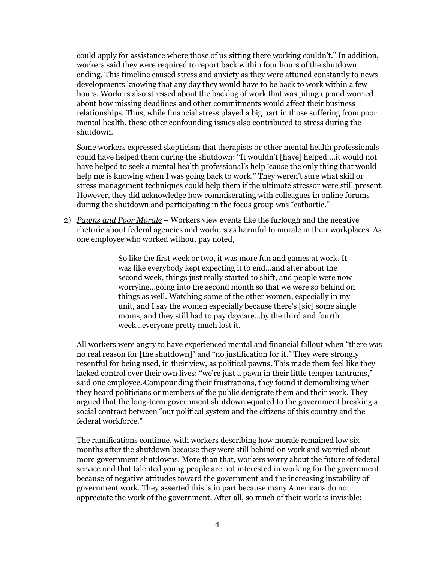could apply for assistance where those of us sitting there working couldn't." In addition, workers said they were required to report back within four hours of the shutdown ending. This timeline caused stress and anxiety as they were attuned constantly to news developments knowing that any day they would have to be back to work within a few hours. Workers also stressed about the backlog of work that was piling up and worried about how missing deadlines and other commitments would affect their business relationships. Thus, while financial stress played a big part in those suffering from poor mental health, these other confounding issues also contributed to stress during the shutdown.

Some workers expressed skepticism that therapists or other mental health professionals could have helped them during the shutdown: "It wouldn't [have] helped….it would not have helped to seek a mental health professional's help 'cause the only thing that would help me is knowing when I was going back to work." They weren't sure what skill or stress management techniques could help them if the ultimate stressor were still present. However, they did acknowledge how commiserating with colleagues in online forums during the shutdown and participating in the focus group was "cathartic."

2) *Pawns and Poor Morale* – Workers view events like the furlough and the negative rhetoric about federal agencies and workers as harmful to morale in their workplaces. As one employee who worked without pay noted,

> So like the first week or two, it was more fun and games at work. It was like everybody kept expecting it to end…and after about the second week, things just really started to shift, and people were now worrying…going into the second month so that we were so behind on things as well. Watching some of the other women, especially in my unit, and I say the women especially because there's [sic] some single moms, and they still had to pay daycare…by the third and fourth week…everyone pretty much lost it.

All workers were angry to have experienced mental and financial fallout when "there was no real reason for [the shutdown]" and "no justification for it." They were strongly resentful for being used, in their view, as political pawns. This made them feel like they lacked control over their own lives: "we're just a pawn in their little temper tantrums," said one employee. Compounding their frustrations, they found it demoralizing when they heard politicians or members of the public denigrate them and their work. They argued that the long-term government shutdown equated to the government breaking a social contract between "our political system and the citizens of this country and the federal workforce."

The ramifications continue, with workers describing how morale remained low six months after the shutdown because they were still behind on work and worried about more government shutdowns. More than that, workers worry about the future of federal service and that talented young people are not interested in working for the government because of negative attitudes toward the government and the increasing instability of government work. They asserted this is in part because many Americans do not appreciate the work of the government. After all, so much of their work is invisible: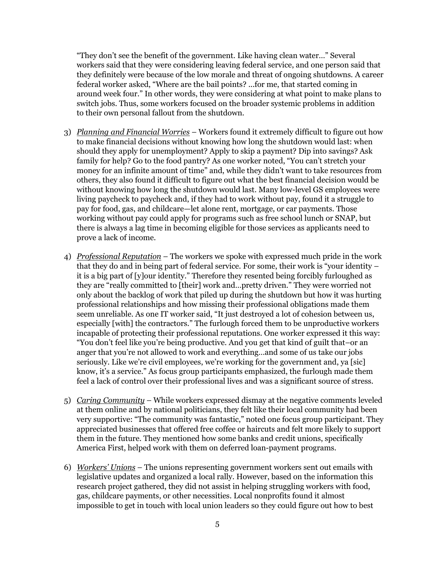"They don't see the benefit of the government. Like having clean water…" Several workers said that they were considering leaving federal service, and one person said that they definitely were because of the low morale and threat of ongoing shutdowns. A career federal worker asked, "Where are the bail points? ...for me, that started coming in around week four." In other words, they were considering at what point to make plans to switch jobs. Thus, some workers focused on the broader systemic problems in addition to their own personal fallout from the shutdown.

- 3) *Planning and Financial Worries* Workers found it extremely difficult to figure out how to make financial decisions without knowing how long the shutdown would last: when should they apply for unemployment? Apply to skip a payment? Dip into savings? Ask family for help? Go to the food pantry? As one worker noted, "You can't stretch your money for an infinite amount of time" and, while they didn't want to take resources from others, they also found it difficult to figure out what the best financial decision would be without knowing how long the shutdown would last. Many low-level GS employees were living paycheck to paycheck and, if they had to work without pay, found it a struggle to pay for food, gas, and childcare—let alone rent, mortgage, or car payments. Those working without pay could apply for programs such as free school lunch or SNAP, but there is always a lag time in becoming eligible for those services as applicants need to prove a lack of income.
- 4) *Professional Reputation* The workers we spoke with expressed much pride in the work that they do and in being part of federal service. For some, their work is "your identity – it is a big part of [y]our identity." Therefore they resented being forcibly furloughed as they are "really committed to [their] work and…pretty driven." They were worried not only about the backlog of work that piled up during the shutdown but how it was hurting professional relationships and how missing their professional obligations made them seem unreliable. As one IT worker said, "It just destroyed a lot of cohesion between us, especially [with] the contractors." The furlough forced them to be unproductive workers incapable of protecting their professional reputations. One worker expressed it this way: "You don't feel like you're being productive. And you get that kind of guilt that–or an anger that you're not allowed to work and everything…and some of us take our jobs seriously. Like we're civil employees, we're working for the government and, ya [sic] know, it's a service." As focus group participants emphasized, the furlough made them feel a lack of control over their professional lives and was a significant source of stress.
- 5) *Caring Community* While workers expressed dismay at the negative comments leveled at them online and by national politicians, they felt like their local community had been very supportive: "The community was fantastic," noted one focus group participant. They appreciated businesses that offered free coffee or haircuts and felt more likely to support them in the future. They mentioned how some banks and credit unions, specifically America First, helped work with them on deferred loan-payment programs.
- 6) *Workers' Unions* The unions representing government workers sent out emails with legislative updates and organized a local rally. However, based on the information this research project gathered, they did not assist in helping struggling workers with food, gas, childcare payments, or other necessities. Local nonprofits found it almost impossible to get in touch with local union leaders so they could figure out how to best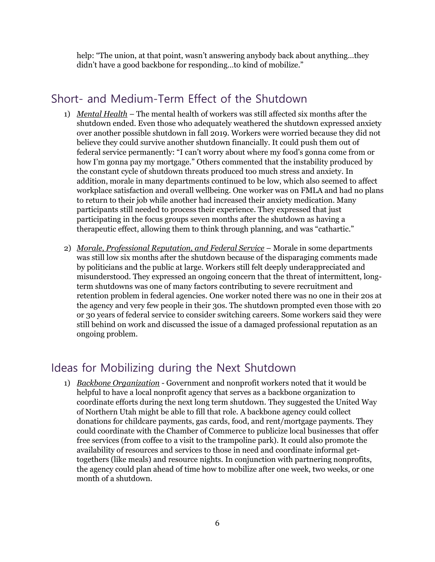help: "The union, at that point, wasn't answering anybody back about anything…they didn't have a good backbone for responding…to kind of mobilize."

#### <span id="page-6-0"></span>Short- and Medium-Term Effect of the Shutdown

- 1) *Mental Health* The mental health of workers was still affected six months after the shutdown ended. Even those who adequately weathered the shutdown expressed anxiety over another possible shutdown in fall 2019. Workers were worried because they did not believe they could survive another shutdown financially. It could push them out of federal service permanently: "I can't worry about where my food's gonna come from or how I'm gonna pay my mortgage." Others commented that the instability produced by the constant cycle of shutdown threats produced too much stress and anxiety. In addition, morale in many departments continued to be low, which also seemed to affect workplace satisfaction and overall wellbeing. One worker was on FMLA and had no plans to return to their job while another had increased their anxiety medication. Many participants still needed to process their experience. They expressed that just participating in the focus groups seven months after the shutdown as having a therapeutic effect, allowing them to think through planning, and was "cathartic."
- 2) *Morale, Professional Reputation, and Federal Service* Morale in some departments was still low six months after the shutdown because of the disparaging comments made by politicians and the public at large. Workers still felt deeply underappreciated and misunderstood. They expressed an ongoing concern that the threat of intermittent, longterm shutdowns was one of many factors contributing to severe recruitment and retention problem in federal agencies. One worker noted there was no one in their 20s at the agency and very few people in their 30s. The shutdown prompted even those with 20 or 30 years of federal service to consider switching careers. Some workers said they were still behind on work and discussed the issue of a damaged professional reputation as an ongoing problem.

#### <span id="page-6-1"></span>Ideas for Mobilizing during the Next Shutdown

1) *Backbone Organization* - Government and nonprofit workers noted that it would be helpful to have a local nonprofit agency that serves as a backbone organization to coordinate efforts during the next long term shutdown. They suggested the United Way of Northern Utah might be able to fill that role. A backbone agency could collect donations for childcare payments, gas cards, food, and rent/mortgage payments. They could coordinate with the Chamber of Commerce to publicize local businesses that offer free services (from coffee to a visit to the trampoline park). It could also promote the availability of resources and services to those in need and coordinate informal gettogethers (like meals) and resource nights. In conjunction with partnering nonprofits, the agency could plan ahead of time how to mobilize after one week, two weeks, or one month of a shutdown.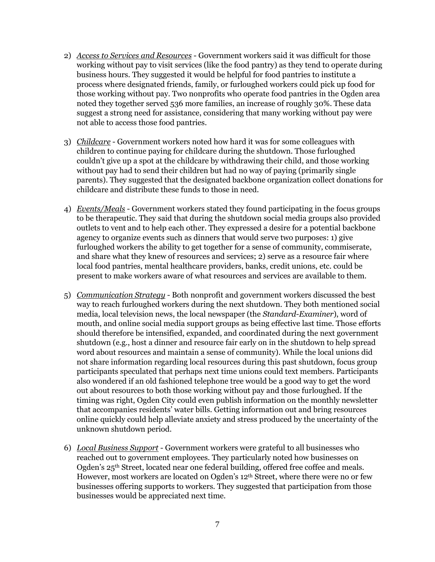- 2) *Access to Services and Resources* Government workers said it was difficult for those working without pay to visit services (like the food pantry) as they tend to operate during business hours. They suggested it would be helpful for food pantries to institute a process where designated friends, family, or furloughed workers could pick up food for those working without pay. Two nonprofits who operate food pantries in the Ogden area noted they together served 536 more families, an increase of roughly 30%. These data suggest a strong need for assistance, considering that many working without pay were not able to access those food pantries.
- 3) *Childcare* Government workers noted how hard it was for some colleagues with children to continue paying for childcare during the shutdown. Those furloughed couldn't give up a spot at the childcare by withdrawing their child, and those working without pay had to send their children but had no way of paying (primarily single parents). They suggested that the designated backbone organization collect donations for childcare and distribute these funds to those in need.
- 4) *Events/Meals* Government workers stated they found participating in the focus groups to be therapeutic. They said that during the shutdown social media groups also provided outlets to vent and to help each other. They expressed a desire for a potential backbone agency to organize events such as dinners that would serve two purposes: 1) give furloughed workers the ability to get together for a sense of community, commiserate, and share what they knew of resources and services; 2) serve as a resource fair where local food pantries, mental healthcare providers, banks, credit unions, etc. could be present to make workers aware of what resources and services are available to them.
- 5) *Communication Strategy* Both nonprofit and government workers discussed the best way to reach furloughed workers during the next shutdown. They both mentioned social media, local television news, the local newspaper (the *Standard-Examiner*), word of mouth, and online social media support groups as being effective last time. Those efforts should therefore be intensified, expanded, and coordinated during the next government shutdown (e.g., host a dinner and resource fair early on in the shutdown to help spread word about resources and maintain a sense of community). While the local unions did not share information regarding local resources during this past shutdown, focus group participants speculated that perhaps next time unions could text members. Participants also wondered if an old fashioned telephone tree would be a good way to get the word out about resources to both those working without pay and those furloughed. If the timing was right, Ogden City could even publish information on the monthly newsletter that accompanies residents' water bills. Getting information out and bring resources online quickly could help alleviate anxiety and stress produced by the uncertainty of the unknown shutdown period.
- 6) *Local Business Support* Government workers were grateful to all businesses who reached out to government employees. They particularly noted how businesses on Ogden's 25th Street, located near one federal building, offered free coffee and meals. However, most workers are located on Ogden's 12<sup>th</sup> Street, where there were no or few businesses offering supports to workers. They suggested that participation from those businesses would be appreciated next time.